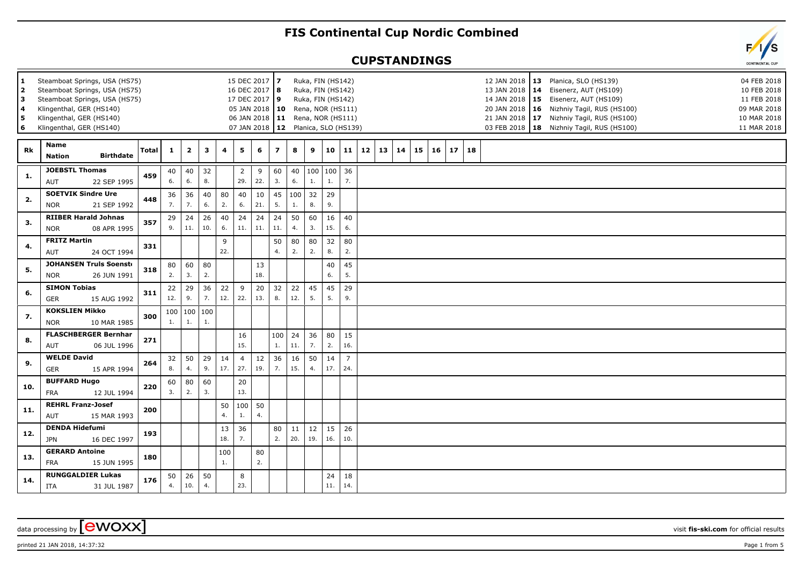## **FIS Continental Cup Nordic Combined**

## **CUPSTANDINGS**

| 1<br>$\overline{2}$<br>3<br>4<br>5<br>6 | Steamboat Springs, USA (HS75)<br>Steamboat Springs, USA (HS75)<br>Steamboat Springs, USA (HS75)<br>Klingenthal, GER (HS140)<br>Klingenthal, GER (HS140)<br>Klingenthal, GER (HS140) | 15 DEC 2017 7<br>16 DEC 2017   8<br>17 DEC 2017 9 |              | Ruka, FIN (HS142)<br>Ruka, FIN (HS142)<br>Ruka, FIN (HS142)<br>05 JAN 2018   10 Rena, NOR (HS111)<br>06 JAN 2018   11 Rena, NOR (HS111)<br>07 JAN 2018   12 Planica, SLO (HS139) |           |           |                       |           |                |           |                |                 |                       |              | 12 JAN 2018   13 Planica, SLO (HS139)<br>13 JAN 2018   14 Eisenerz, AUT (HS109)<br>14 JAN 2018   15 Eisenerz, AUT (HS109)<br>20 JAN 2018   16 Nizhniy Tagil, RUS (HS100)<br>21 JAN 2018   17 Nizhniy Tagil, RUS (HS100)<br>03 FEB 2018   18 Nizhniy Tagil, RUS (HS100) |    |    | 04 FEB 2018<br>10 FEB 2018<br>11 FEB 2018<br>09 MAR 2018<br>10 MAR 2018<br>11 MAR 2018 |    |    |  |  |  |  |  |
|-----------------------------------------|-------------------------------------------------------------------------------------------------------------------------------------------------------------------------------------|---------------------------------------------------|--------------|----------------------------------------------------------------------------------------------------------------------------------------------------------------------------------|-----------|-----------|-----------------------|-----------|----------------|-----------|----------------|-----------------|-----------------------|--------------|------------------------------------------------------------------------------------------------------------------------------------------------------------------------------------------------------------------------------------------------------------------------|----|----|----------------------------------------------------------------------------------------|----|----|--|--|--|--|--|
| Rk                                      | <b>Name</b><br><b>Birthdate</b><br><b>Nation</b>                                                                                                                                    | <b>Total</b>                                      | $\mathbf{1}$ | $\mathbf{2}$                                                                                                                                                                     | 3         | 4         | 5 <sub>1</sub>        | 6         | $\overline{z}$ | 8         | 9              | 10 <sup>1</sup> |                       | $11 \mid 12$ | 13                                                                                                                                                                                                                                                                     | 14 | 15 | 16                                                                                     | 17 | 18 |  |  |  |  |  |
| -1.                                     | <b>JOEBSTL Thomas</b><br>22 SEP 1995<br>AUT                                                                                                                                         | 459                                               | 40<br>6.     | 40<br>6.                                                                                                                                                                         | 32<br>8.  |           | $\overline{2}$<br>29. | 9<br>22.  | 60<br>3.       | 40<br>6.  | 1.             | 100 100<br>1.   | 36<br>7.              |              |                                                                                                                                                                                                                                                                        |    |    |                                                                                        |    |    |  |  |  |  |  |
| 2.                                      | <b>SOETVIK Sindre Ure</b><br>21 SEP 1992<br><b>NOR</b>                                                                                                                              | 448                                               | 36<br>7.     | 36<br>7.                                                                                                                                                                         | 40<br>6.  | 80<br>2.  | 40<br>6.              | 10<br>21. | 45<br>5.       | 1.        | $100$ 32<br>8. | 29<br>9.        |                       |              |                                                                                                                                                                                                                                                                        |    |    |                                                                                        |    |    |  |  |  |  |  |
| 3.                                      | <b>RIIBER Harald Johnas</b><br>08 APR 1995<br><b>NOR</b>                                                                                                                            | 357                                               | 29<br>9.     | 24<br>11.                                                                                                                                                                        | 26<br>10. | 40<br>6.  | 24<br>11.             | 24<br>11. | 24<br>11.      | 50<br>4.  | 60<br>3.       | 16<br>15.       | 40<br>6.              |              |                                                                                                                                                                                                                                                                        |    |    |                                                                                        |    |    |  |  |  |  |  |
| 4.                                      | <b>FRITZ Martin</b><br>24 OCT 1994<br>AUT                                                                                                                                           | 331                                               |              |                                                                                                                                                                                  |           | 9<br>22.  |                       |           | 50<br>4.       | 80<br>2.  | 80<br>2.       | 32<br>8.        | 80<br>2.              |              |                                                                                                                                                                                                                                                                        |    |    |                                                                                        |    |    |  |  |  |  |  |
| 5.                                      | <b>JOHANSEN Truls Soenste</b><br><b>NOR</b><br>26 JUN 1991                                                                                                                          | 318                                               | 80<br>2.     | 60<br>3.                                                                                                                                                                         | 80<br>2.  |           |                       | 13<br>18. |                |           |                | 40<br>6.        | 45<br>5.              |              |                                                                                                                                                                                                                                                                        |    |    |                                                                                        |    |    |  |  |  |  |  |
| 6.                                      | <b>SIMON Tobias</b><br><b>GER</b><br>15 AUG 1992                                                                                                                                    | 311                                               | 22<br>12.    | 29<br>9.                                                                                                                                                                         | 36<br>7.  | 22<br>12. | 9<br>22.              | 20<br>13. | 32<br>8.       | 22<br>12. | 45<br>5.       | 45<br>5.        | 29<br>9.              |              |                                                                                                                                                                                                                                                                        |    |    |                                                                                        |    |    |  |  |  |  |  |
| 7.                                      | <b>KOKSLIEN Mikko</b><br><b>NOR</b><br>10 MAR 1985                                                                                                                                  | 300                                               | 1.           | 100 100<br>1.                                                                                                                                                                    | 100<br>1. |           |                       |           |                |           |                |                 |                       |              |                                                                                                                                                                                                                                                                        |    |    |                                                                                        |    |    |  |  |  |  |  |
| 8.                                      | <b>FLASCHBERGER Bernhar</b><br>AUT<br>06 JUL 1996                                                                                                                                   | 271                                               |              |                                                                                                                                                                                  |           |           | 16<br>15.             |           | 100<br>1.      | 24<br>11. | 36<br>7.       | 80<br>2.        | 15<br>16.             |              |                                                                                                                                                                                                                                                                        |    |    |                                                                                        |    |    |  |  |  |  |  |
| 9.                                      | <b>WELDE David</b><br><b>GER</b><br>15 APR 1994                                                                                                                                     | 264                                               | 32<br>8.     | 50<br>4.                                                                                                                                                                         | 29<br>9.  | 14<br>17. | $\overline{4}$<br>27. | 12<br>19. | 36<br>7.       | 16<br>15. | 50<br>4.       | 14<br>17.       | $\overline{7}$<br>24. |              |                                                                                                                                                                                                                                                                        |    |    |                                                                                        |    |    |  |  |  |  |  |
| 10.                                     | <b>BUFFARD Hugo</b><br><b>FRA</b><br>12 JUL 1994                                                                                                                                    | 220                                               | 60<br>3.     | 80<br>2.                                                                                                                                                                         | 60<br>3.  |           | $20\,$<br>13.         |           |                |           |                |                 |                       |              |                                                                                                                                                                                                                                                                        |    |    |                                                                                        |    |    |  |  |  |  |  |
| 11.                                     | <b>REHRL Franz-Josef</b><br>AUT<br>15 MAR 1993                                                                                                                                      | 200                                               |              |                                                                                                                                                                                  |           | 50<br>4.  | 100<br>1.             | 50<br>4.  |                |           |                |                 |                       |              |                                                                                                                                                                                                                                                                        |    |    |                                                                                        |    |    |  |  |  |  |  |
| 12.                                     | <b>DENDA Hidefumi</b><br><b>JPN</b><br>16 DEC 1997                                                                                                                                  | 193                                               |              |                                                                                                                                                                                  |           | 13<br>18. | 36<br>7.              |           | 80<br>2.       | 11<br>20. | 12<br>19.      | 15<br>16.       | 26<br>10.             |              |                                                                                                                                                                                                                                                                        |    |    |                                                                                        |    |    |  |  |  |  |  |
| 13.                                     | <b>GERARD Antoine</b><br><b>FRA</b><br>15 JUN 1995                                                                                                                                  | 180                                               |              |                                                                                                                                                                                  |           | 100<br>1. |                       | 80<br>2.  |                |           |                |                 |                       |              |                                                                                                                                                                                                                                                                        |    |    |                                                                                        |    |    |  |  |  |  |  |
| 14.                                     | <b>RUNGGALDIER Lukas</b><br>ITA<br>31 JUL 1987                                                                                                                                      | 176                                               | 50<br>4.     | 26<br>10.                                                                                                                                                                        | 50<br>4.  |           | 8<br>23.              |           |                |           |                | 24<br>11.       | 18<br>14.             |              |                                                                                                                                                                                                                                                                        |    |    |                                                                                        |    |    |  |  |  |  |  |

printed 21 JAN 2018, 14:37:32 Page 1 from 5

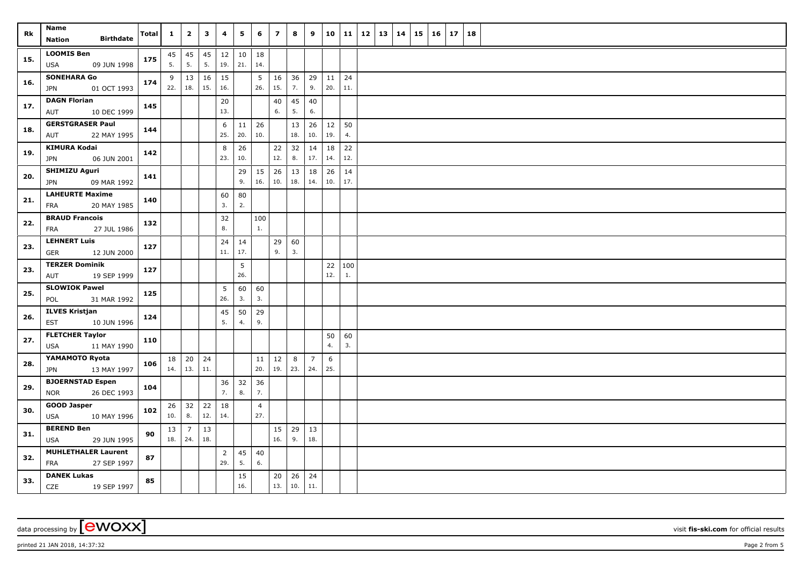| Rk  | Name<br><b>Birthdate</b>                   | Total | $\mathbf{1}$ | $\overline{2}$     | 3        | 4              | 5             | 6              | $\overline{z}$ | 8              | 9              | 10  | 11  | 12 | 13 | 14 | 15 | 16 | 17 | 18 |
|-----|--------------------------------------------|-------|--------------|--------------------|----------|----------------|---------------|----------------|----------------|----------------|----------------|-----|-----|----|----|----|----|----|----|----|
|     | <b>Nation</b>                              |       |              |                    |          |                |               |                |                |                |                |     |     |    |    |    |    |    |    |    |
| 15. | <b>LOOMIS Ben</b><br>09 JUN 1998<br>USA    | 175   | 5.           | $45 \mid 45$<br>5. | 45<br>5. | 12<br>19.      | $10\,$<br>21. | 18<br>14.      |                |                |                |     |     |    |    |    |    |    |    |    |
|     | <b>SONEHARA Go</b>                         |       | 9            | 13                 | 16       | 15             |               | 5              | 16             | 36             | 29             | 11  | 24  |    |    |    |    |    |    |    |
| 16. | 01 OCT 1993<br>JPN                         | 174   | 22.          | 18.                | 15.      | 16.            |               | 26.            | 15.            | 7.             | 9.             | 20. | 11. |    |    |    |    |    |    |    |
|     | <b>DAGN Florian</b>                        |       |              |                    |          | 20             |               |                | 40             | 45             | 40             |     |     |    |    |    |    |    |    |    |
| 17. | 10 DEC 1999<br>AUT                         | 145   |              |                    |          | 13.            |               |                | 6.             | 5.             | 6.             |     |     |    |    |    |    |    |    |    |
| 18. | <b>GERSTGRASER Paul</b>                    | 144   |              |                    |          | 6              | 11            | 26             |                | 13             | 26             | 12  | 50  |    |    |    |    |    |    |    |
|     | AUT<br>22 MAY 1995                         |       |              |                    |          | 25.            | 20.           | 10.            |                | 18.            | 10.            | 19. | 4.  |    |    |    |    |    |    |    |
| 19. | <b>KIMURA Kodai</b>                        | 142   |              |                    |          | 8              | 26            |                | 22             | 32             | 14             | 18  | 22  |    |    |    |    |    |    |    |
|     | <b>JPN</b><br>06 JUN 2001                  |       |              |                    |          | 23.            | 10.           |                | 12.            | 8.             | 17.            | 14. | 12. |    |    |    |    |    |    |    |
| 20. | <b>SHIMIZU Aguri</b>                       | 141   |              |                    |          |                | 29            | 15             | 26             | 13             | 18             | 26  | 14  |    |    |    |    |    |    |    |
|     | 09 MAR 1992<br><b>JPN</b>                  |       |              |                    |          |                | 9.            | 16.            | 10.            | 18.            | 14.            | 10. | 17. |    |    |    |    |    |    |    |
| 21. | <b>LAHEURTE Maxime</b>                     | 140   |              |                    |          | 60             | 80            |                |                |                |                |     |     |    |    |    |    |    |    |    |
|     | 20 MAY 1985<br>FRA                         |       |              |                    |          | 3.             | 2.            |                |                |                |                |     |     |    |    |    |    |    |    |    |
| 22. | <b>BRAUD Francois</b>                      | 132   |              |                    |          | 32             |               | 100            |                |                |                |     |     |    |    |    |    |    |    |    |
|     | FRA<br>27 JUL 1986                         |       |              |                    |          | 8.             |               | 1.             |                |                |                |     |     |    |    |    |    |    |    |    |
| 23. | <b>LEHNERT Luis</b>                        | 127   |              |                    |          | 24             | 14            |                | 29             | 60             |                |     |     |    |    |    |    |    |    |    |
|     | <b>GER</b><br>12 JUN 2000                  |       |              |                    |          | 11.            | 17.           |                | 9.             | 3.             |                |     |     |    |    |    |    |    |    |    |
| 23. | <b>TERZER Dominik</b>                      | 127   |              |                    |          |                | 5             |                |                |                |                | 22  | 100 |    |    |    |    |    |    |    |
|     | 19 SEP 1999<br>AUT                         |       |              |                    |          |                | 26.           |                |                |                |                | 12. | 1.  |    |    |    |    |    |    |    |
| 25. | <b>SLOWIOK Pawel</b><br>31 MAR 1992<br>POL | 125   |              |                    |          | 5<br>26.       | 60<br>3.      | 60<br>3.       |                |                |                |     |     |    |    |    |    |    |    |    |
|     | <b>ILVES Kristjan</b>                      |       |              |                    |          | 45             | 50            | 29             |                |                |                |     |     |    |    |    |    |    |    |    |
| 26. | 10 JUN 1996<br><b>EST</b>                  | 124   |              |                    |          | 5.             | 4.            | 9.             |                |                |                |     |     |    |    |    |    |    |    |    |
|     | <b>FLETCHER Taylor</b>                     |       |              |                    |          |                |               |                |                |                |                | 50  | 60  |    |    |    |    |    |    |    |
| 27. | <b>USA</b><br>11 MAY 1990                  | 110   |              |                    |          |                |               |                |                |                |                | 4.  | 3.  |    |    |    |    |    |    |    |
|     | YAMAMOTO Ryota                             |       | 18           | 20                 | 24       |                |               | 11             | $12\,$         | $8\phantom{1}$ | $\overline{7}$ | 6   |     |    |    |    |    |    |    |    |
| 28. | 13 MAY 1997<br><b>JPN</b>                  | 106   |              | $14. \ 13.$        | 11.      |                |               | 20.            | 19.            | 23.            | 24.            | 25. |     |    |    |    |    |    |    |    |
|     | <b>BJOERNSTAD Espen</b>                    |       |              |                    |          | 36             | 32            | 36             |                |                |                |     |     |    |    |    |    |    |    |    |
| 29. | 26 DEC 1993<br><b>NOR</b>                  | 104   |              |                    |          | 7.             | 8.            | 7.             |                |                |                |     |     |    |    |    |    |    |    |    |
|     | <b>GOOD Jasper</b>                         |       |              | $26 \mid 32 \mid$  | 22       | 18             |               | $\overline{4}$ |                |                |                |     |     |    |    |    |    |    |    |    |
| 30. | <b>USA</b><br>10 MAY 1996                  | 102   | 10.          | 8.                 | 12.      | 14.            |               | 27.            |                |                |                |     |     |    |    |    |    |    |    |    |
| 31. | <b>BEREND Ben</b>                          | 90    | 13           | $\overline{7}$     | 13       |                |               |                | 15             | 29             | $\vert$ 13     |     |     |    |    |    |    |    |    |    |
|     | 29 JUN 1995<br><b>USA</b>                  |       |              | 18.   24.          | 18.      |                |               |                | 16.            | 9.             | 18.            |     |     |    |    |    |    |    |    |    |
| 32. | <b>MUHLETHALER Laurent</b>                 | 87    |              |                    |          | $\overline{2}$ | 45            | 40             |                |                |                |     |     |    |    |    |    |    |    |    |
|     | 27 SEP 1997<br><b>FRA</b>                  |       |              |                    |          | 29.            | 5.            | 6.             |                |                |                |     |     |    |    |    |    |    |    |    |
| 33. | <b>DANEK Lukas</b>                         | 85    |              |                    |          |                | 15            |                | 20             | 26             | $\vert$ 24     |     |     |    |    |    |    |    |    |    |
|     | CZE<br>19 SEP 1997                         |       |              |                    |          |                | 16.           |                | 13.            | 10.            | 11.            |     |     |    |    |    |    |    |    |    |



printed 21 JAN 2018, 14:37:32 Page 2 from 5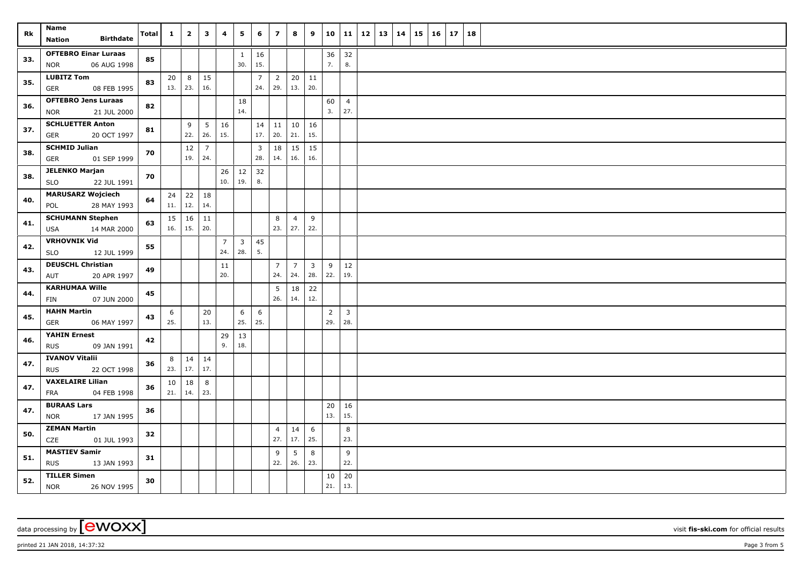| Rk  | Name                                             | <b>Total</b> | $\mathbf{1}$ | $\overline{2}$ | $\mathbf{3}$ | 4                     | 5                              | 6                       | $\overline{7}$        | 8               | 9              | 10             | 11                    | 12 | 13   14 | 15 | 16 | 17 | 18 |  |
|-----|--------------------------------------------------|--------------|--------------|----------------|--------------|-----------------------|--------------------------------|-------------------------|-----------------------|-----------------|----------------|----------------|-----------------------|----|---------|----|----|----|----|--|
|     | <b>Birthdate</b><br><b>Nation</b>                |              |              |                |              |                       |                                |                         |                       |                 |                |                |                       |    |         |    |    |    |    |  |
| 33. | <b>OFTEBRO Einar Luraas</b>                      | 85           |              |                |              |                       | $\mathbf{1}$                   | 16                      |                       |                 |                | 36             | 32                    |    |         |    |    |    |    |  |
|     | <b>NOR</b><br>06 AUG 1998                        |              |              |                |              |                       | 30.                            | 15.                     |                       |                 |                | 7.             | 8.                    |    |         |    |    |    |    |  |
| 35. | <b>LUBITZ Tom</b>                                | 83           | 20<br>13.    | 8<br>23.       | 15<br>16.    |                       |                                | $\overline{7}$<br>24.   | $\overline{2}$<br>29. | 20   11<br> 13. | 20.            |                |                       |    |         |    |    |    |    |  |
|     | <b>GER</b><br>08 FEB 1995                        |              |              |                |              |                       |                                |                         |                       |                 |                |                |                       |    |         |    |    |    |    |  |
| 36. | <b>OFTEBRO Jens Luraas</b><br>21 JUL 2000<br>NOR | 82           |              |                |              |                       | 18<br>14.                      |                         |                       |                 |                | 60<br>3.       | $\overline{4}$<br>27. |    |         |    |    |    |    |  |
|     | <b>SCHLUETTER Anton</b>                          |              |              | 9              | 5            | 16                    |                                | 14                      | 11                    | 10              | 16             |                |                       |    |         |    |    |    |    |  |
| 37. | GER<br>20 OCT 1997                               | 81           |              | 22.            | 26.          | 15.                   |                                | 17.                     | 20.                   | 21.             | 15.            |                |                       |    |         |    |    |    |    |  |
|     | <b>SCHMID Julian</b>                             |              |              | 12             | 7            |                       |                                | $\overline{\mathbf{3}}$ | 18                    | 15              | 15             |                |                       |    |         |    |    |    |    |  |
| 38. | <b>GER</b><br>01 SEP 1999                        | 70           |              | 19.            | 24.          |                       |                                | 28.                     | 14.                   | 16.             | 16.            |                |                       |    |         |    |    |    |    |  |
| 38. | <b>JELENKO Marjan</b>                            | 70           |              |                |              | 26                    | 12                             | 32                      |                       |                 |                |                |                       |    |         |    |    |    |    |  |
|     | 22 JUL 1991<br><b>SLO</b>                        |              |              |                |              | 10.                   | 19.                            | 8.                      |                       |                 |                |                |                       |    |         |    |    |    |    |  |
| 40. | <b>MARUSARZ Wojciech</b>                         | 64           | 24           | 22             | 18           |                       |                                |                         |                       |                 |                |                |                       |    |         |    |    |    |    |  |
|     | 28 MAY 1993<br>POL                               |              | 11.          | 12.            | 14.          |                       |                                |                         |                       |                 |                |                |                       |    |         |    |    |    |    |  |
| 41. | <b>SCHUMANN Stephen</b>                          | 63           | 15           | 16             | 11           |                       |                                |                         | 8                     | $\overline{4}$  | 9              |                |                       |    |         |    |    |    |    |  |
|     | <b>USA</b><br>14 MAR 2000                        |              | 16.          | 15.            | 20.          |                       |                                |                         | 23.                   | 27.             | 22.            |                |                       |    |         |    |    |    |    |  |
| 42. | <b>VRHOVNIK Vid</b><br><b>SLO</b><br>12 JUL 1999 | 55           |              |                |              | $\overline{7}$<br>24. | $\overline{\mathbf{3}}$<br>28. | 45<br>5.                |                       |                 |                |                |                       |    |         |    |    |    |    |  |
|     | <b>DEUSCHL Christian</b>                         |              |              |                |              | 11                    |                                |                         | $\overline{7}$        | $\overline{7}$  | $\overline{3}$ | 9              | 12                    |    |         |    |    |    |    |  |
| 43. | 20 APR 1997<br>AUT                               | 49           |              |                |              | 20.                   |                                |                         | 24.                   | 24.             | 28.            | 22.            | 19.                   |    |         |    |    |    |    |  |
|     | <b>KARHUMAA Wille</b>                            |              |              |                |              |                       |                                |                         | 5                     | 18              | 22             |                |                       |    |         |    |    |    |    |  |
| 44. | 07 JUN 2000<br>FIN                               | 45           |              |                |              |                       |                                |                         | 26.                   | 14.             | 12.            |                |                       |    |         |    |    |    |    |  |
| 45. | <b>HAHN Martin</b>                               | 43           | 6            |                | 20           |                       | 6                              | 6                       |                       |                 |                | $\overline{2}$ | $\overline{3}$        |    |         |    |    |    |    |  |
|     | 06 MAY 1997<br><b>GER</b>                        |              | 25.          |                | 13.          |                       | 25.                            | 25.                     |                       |                 |                | 29.            | 28.                   |    |         |    |    |    |    |  |
| 46. | YAHIN Ernest                                     | 42           |              |                |              | 29                    | 13                             |                         |                       |                 |                |                |                       |    |         |    |    |    |    |  |
|     | 09 JAN 1991<br><b>RUS</b>                        |              |              |                |              | 9.                    | 18.                            |                         |                       |                 |                |                |                       |    |         |    |    |    |    |  |
| 47. | <b>IVANOV Vitalii</b>                            | 36           | 8            | 14             | 14           |                       |                                |                         |                       |                 |                |                |                       |    |         |    |    |    |    |  |
|     | <b>RUS</b><br>22 OCT 1998                        |              | 23.          | 17.            | 17.          |                       |                                |                         |                       |                 |                |                |                       |    |         |    |    |    |    |  |
| 47. | <b>VAXELAIRE Lilian</b><br>FRA<br>04 FEB 1998    | 36           | 10<br>21.    | 18<br>14.      | 8<br>23.     |                       |                                |                         |                       |                 |                |                |                       |    |         |    |    |    |    |  |
|     | <b>BURAAS Lars</b>                               |              |              |                |              |                       |                                |                         |                       |                 |                | 20             | 16                    |    |         |    |    |    |    |  |
| 47. | <b>NOR</b><br>17 JAN 1995                        | 36           |              |                |              |                       |                                |                         |                       |                 |                | 13.            | 15.                   |    |         |    |    |    |    |  |
|     | <b>ZEMAN Martin</b>                              |              |              |                |              |                       |                                |                         | $\overline{4}$        | 14              | 6              |                | 8                     |    |         |    |    |    |    |  |
| 50. | CZE<br>01 JUL 1993                               | 32           |              |                |              |                       |                                |                         | 27.                   | 17.             | 25.            |                | 23.                   |    |         |    |    |    |    |  |
| 51. | <b>MASTIEV Samir</b>                             | 31           |              |                |              |                       |                                |                         | 9                     | 5               | 8              |                | 9                     |    |         |    |    |    |    |  |
|     | <b>RUS</b><br>13 JAN 1993                        |              |              |                |              |                       |                                |                         | 22.                   | 26.             | 23.            |                | 22.                   |    |         |    |    |    |    |  |
| 52. | <b>TILLER Simen</b>                              | 30           |              |                |              |                       |                                |                         |                       |                 |                | 10             | 20                    |    |         |    |    |    |    |  |
|     | <b>NOR</b><br>26 NOV 1995                        |              |              |                |              |                       |                                |                         |                       |                 |                | 21.            | 13.                   |    |         |    |    |    |    |  |

data processing by **CWOXX** visit **fis-ski.com** for official results

printed 21 JAN 2018, 14:37:32 Page 3 from 5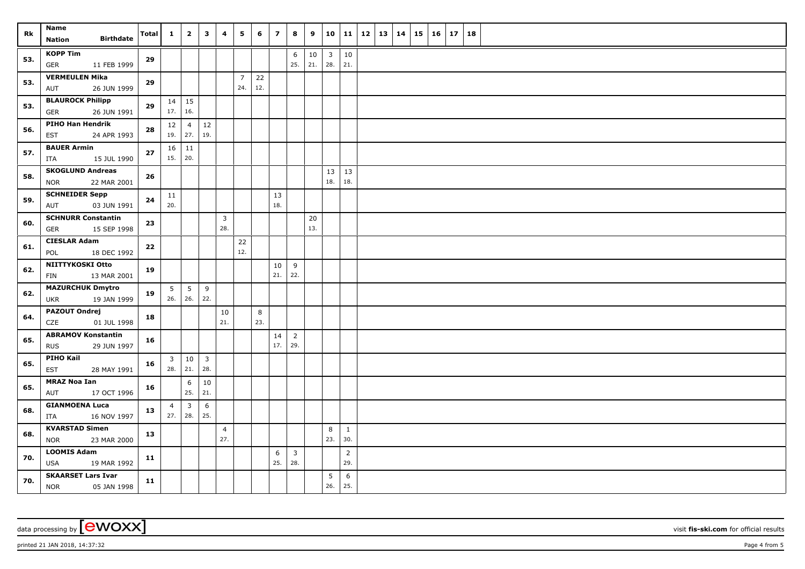| Rk  | Name<br><b>Birthdate</b><br><b>Nation</b>              | <b>Total</b> | $\mathbf{1}$   | $\overline{2}$                       | $\mathbf{3}$            | 4              | 5                     | 6         | $\overline{z}$ | 8                     | 9             | 10                             | 11             | <b>12</b> | 13 | 14 | $15 \mid 16$ | 17 | 18 |  |
|-----|--------------------------------------------------------|--------------|----------------|--------------------------------------|-------------------------|----------------|-----------------------|-----------|----------------|-----------------------|---------------|--------------------------------|----------------|-----------|----|----|--------------|----|----|--|
|     |                                                        |              |                |                                      |                         |                |                       |           |                |                       |               |                                |                |           |    |    |              |    |    |  |
| 53. | <b>KOPP Tim</b><br><b>GER</b><br>11 FEB 1999           | 29           |                |                                      |                         |                |                       |           |                | 6<br>25.              | $10\,$<br>21. | $\overline{\mathbf{3}}$<br>28. | 10<br>21.      |           |    |    |              |    |    |  |
| 53. | <b>VERMEULEN Mika</b><br>26 JUN 1999<br>AUT            | 29           |                |                                      |                         |                | $\overline{7}$<br>24. | 22<br>12. |                |                       |               |                                |                |           |    |    |              |    |    |  |
|     | <b>BLAUROCK Philipp</b>                                |              |                | $14 \mid 15$                         |                         |                |                       |           |                |                       |               |                                |                |           |    |    |              |    |    |  |
| 53. | <b>GER</b><br>26 JUN 1991                              | 29           |                | 17.   16.                            |                         |                |                       |           |                |                       |               |                                |                |           |    |    |              |    |    |  |
| 56. | <b>PIHO Han Hendrik</b><br><b>EST</b><br>24 APR 1993   | 28           | 12             | $\overline{4}$<br>$19.$ 27.          | 12<br>19.               |                |                       |           |                |                       |               |                                |                |           |    |    |              |    |    |  |
|     | <b>BAUER Armin</b>                                     |              |                | $16$   11                            |                         |                |                       |           |                |                       |               |                                |                |           |    |    |              |    |    |  |
| 57. | 15 JUL 1990<br>ITA                                     | $\bf 27$     | $15.$ 20.      |                                      |                         |                |                       |           |                |                       |               |                                |                |           |    |    |              |    |    |  |
| 58. | <b>SKOGLUND Andreas</b><br>22 MAR 2001<br><b>NOR</b>   | 26           |                |                                      |                         |                |                       |           |                |                       |               | 13<br>18.                      | 13<br>18.      |           |    |    |              |    |    |  |
| 59. | <b>SCHNEIDER Sepp</b><br>03 JUN 1991<br>AUT            | 24           | 11<br>20.      |                                      |                         |                |                       |           | 13<br>18.      |                       |               |                                |                |           |    |    |              |    |    |  |
|     | <b>SCHNURR Constantin</b>                              |              |                |                                      |                         | 3              |                       |           |                |                       | 20            |                                |                |           |    |    |              |    |    |  |
| 60. | 15 SEP 1998<br><b>GER</b>                              | 23           |                |                                      |                         | 28.            |                       |           |                |                       | 13.           |                                |                |           |    |    |              |    |    |  |
| 61. | <b>CIESLAR Adam</b>                                    | 22           |                |                                      |                         |                | 22                    |           |                |                       |               |                                |                |           |    |    |              |    |    |  |
|     | 18 DEC 1992<br>POL                                     |              |                |                                      |                         |                | 12.                   |           |                |                       |               |                                |                |           |    |    |              |    |    |  |
| 62. | NIITTYKOSKI Otto<br>13 MAR 2001<br><b>FIN</b>          | 19           |                |                                      |                         |                |                       |           | 10<br>21.      | 9<br>22.              |               |                                |                |           |    |    |              |    |    |  |
| 62. | <b>MAZURCHUK Dmytro</b>                                | 19           | 5              | $5\phantom{.0}$<br>$26.$ 26.         | 9<br>22.                |                |                       |           |                |                       |               |                                |                |           |    |    |              |    |    |  |
|     | 19 JAN 1999<br>UKR                                     |              |                |                                      |                         |                |                       |           |                |                       |               |                                |                |           |    |    |              |    |    |  |
| 64. | <b>PAZOUT Ondrej</b><br>CZE<br>01 JUL 1998             | 18           |                |                                      |                         | 10<br>21.      |                       | 8<br>23.  |                |                       |               |                                |                |           |    |    |              |    |    |  |
| 65. | <b>ABRAMOV Konstantin</b><br><b>RUS</b><br>29 JUN 1997 | 16           |                |                                      |                         |                |                       |           | 14<br>17.      | $\overline{2}$<br>29. |               |                                |                |           |    |    |              |    |    |  |
|     | <b>PIHO Kail</b>                                       |              | $\overline{3}$ | 10                                   | $\overline{\mathbf{3}}$ |                |                       |           |                |                       |               |                                |                |           |    |    |              |    |    |  |
| 65. | <b>EST</b><br>28 MAY 1991                              | 16           |                | $28.$ 21.                            | 28.                     |                |                       |           |                |                       |               |                                |                |           |    |    |              |    |    |  |
| 65. | <b>MRAZ Noa Ian</b>                                    | 16           |                | 6                                    | 10                      |                |                       |           |                |                       |               |                                |                |           |    |    |              |    |    |  |
|     | 17 OCT 1996<br>AUT                                     |              |                | 25.                                  | 21.                     |                |                       |           |                |                       |               |                                |                |           |    |    |              |    |    |  |
| 68. | <b>GIANMOENA Luca</b><br>ITA<br>16 NOV 1997            | 13           | $\overline{4}$ | $\overline{\mathbf{3}}$<br>$27.$ 28. | 6<br>25.                |                |                       |           |                |                       |               |                                |                |           |    |    |              |    |    |  |
|     | <b>KVARSTAD Simen</b>                                  |              |                |                                      |                         | $\overline{4}$ |                       |           |                |                       |               | 8                              | <sup>1</sup>   |           |    |    |              |    |    |  |
| 68. | 23 MAR 2000<br><b>NOR</b>                              | 13           |                |                                      |                         | 27.            |                       |           |                |                       |               | 23.                            | 30.            |           |    |    |              |    |    |  |
| 70. | <b>LOOMIS Adam</b>                                     |              |                |                                      |                         |                |                       |           | 6              | $\overline{3}$        |               |                                | $\overline{2}$ |           |    |    |              |    |    |  |
|     | <b>USA</b><br>19 MAR 1992                              | 11           |                |                                      |                         |                |                       |           | 25.            | 28.                   |               |                                | 29.            |           |    |    |              |    |    |  |
| 70. | <b>SKAARSET Lars Ivar</b><br><b>NOR</b><br>05 JAN 1998 | 11           |                |                                      |                         |                |                       |           |                |                       |               | $5\overline{)}$<br>26.         | 6<br>25.       |           |    |    |              |    |    |  |

data processing by **CWOXX** visit **fis-ski.com** for official results

printed 21 JAN 2018, 14:37:32 Page 4 from 5